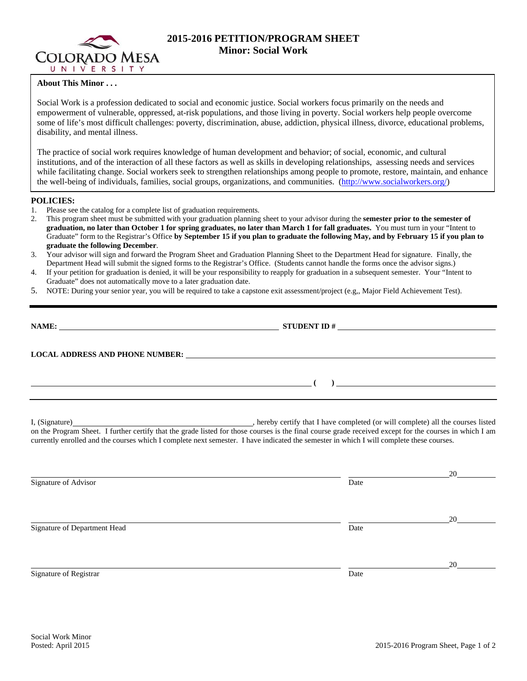

# **2015-2016 PETITION/PROGRAM SHEET Minor: Social Work**

## **About This Minor . . .**

Social Work is a profession dedicated to social and economic justice. Social workers focus primarily on the needs and empowerment of vulnerable, oppressed, at-risk populations, and those living in poverty. Social workers help people overcome some of life's most difficult challenges: poverty, discrimination, abuse, addiction, physical illness, divorce, educational problems, disability, and mental illness.

The practice of social work requires knowledge of human development and behavior; of social, economic, and cultural institutions, and of the interaction of all these factors as well as skills in developing relationships, assessing needs and services while facilitating change. Social workers seek to strengthen relationships among people to promote, restore, maintain, and enhance the well-being of individuals, families, social groups, organizations, and communities. (http://www.socialworkers.org/)

### **POLICIES:**

- 1. Please see the catalog for a complete list of graduation requirements.
- 2. This program sheet must be submitted with your graduation planning sheet to your advisor during the **semester prior to the semester of graduation, no later than October 1 for spring graduates, no later than March 1 for fall graduates.** You must turn in your "Intent to Graduate" form to the Registrar's Office **by September 15 if you plan to graduate the following May, and by February 15 if you plan to graduate the following December**.
- 3. Your advisor will sign and forward the Program Sheet and Graduation Planning Sheet to the Department Head for signature. Finally, the Department Head will submit the signed forms to the Registrar's Office. (Students cannot handle the forms once the advisor signs.)
- 4. If your petition for graduation is denied, it will be your responsibility to reapply for graduation in a subsequent semester. Your "Intent to Graduate" does not automatically move to a later graduation date.
- 5. NOTE: During your senior year, you will be required to take a capstone exit assessment/project (e.g,, Major Field Achievement Test).

| NAME:                                  | <b>STUDENT ID #</b><br><u> 1980 - Jan Samuel Barbara, margaret e populazion del control del control del control del control de la provi</u> |
|----------------------------------------|---------------------------------------------------------------------------------------------------------------------------------------------|
| <b>LOCAL ADDRESS AND PHONE NUMBER:</b> | <u>and the state of the state of the state of the state of the state of the state of the state of the state of th</u>                       |
|                                        |                                                                                                                                             |

I, (Signature) , hereby certify that I have completed (or will complete) all the courses listed on the Program Sheet. I further certify that the grade listed for those courses is the final course grade received except for the courses in which I am currently enrolled and the courses which I complete next semester. I have indicated the semester in which I will complete these courses.

|                              |      | 20 |
|------------------------------|------|----|
| Signature of Advisor         | Date |    |
|                              |      |    |
|                              |      | 20 |
| Signature of Department Head | Date |    |
|                              |      |    |
|                              |      | 20 |
| Signature of Registrar       | Date |    |
|                              |      |    |